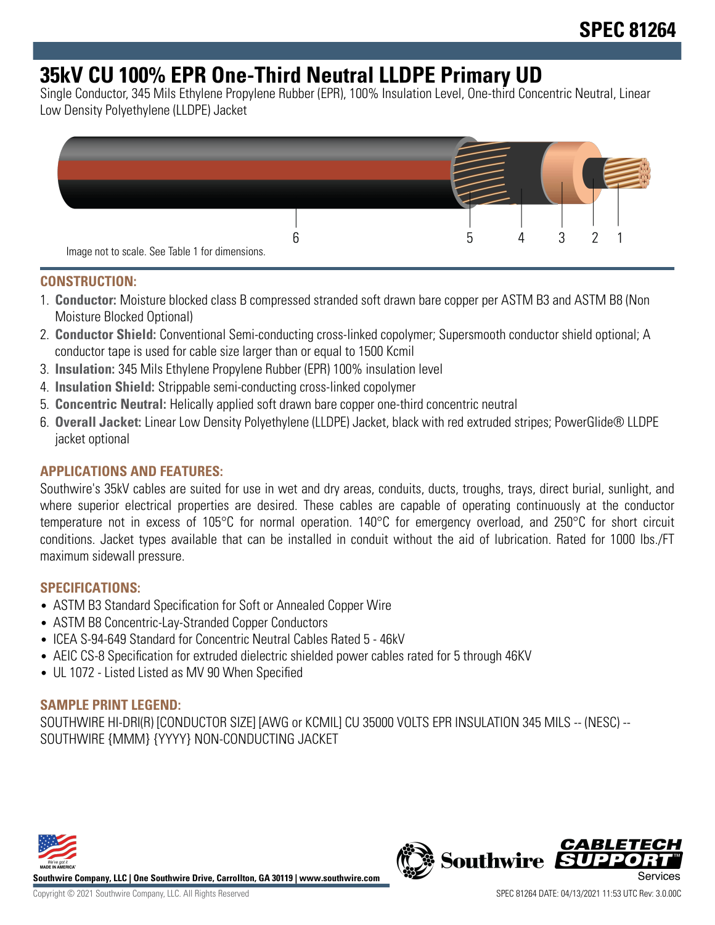# **35kV CU 100% EPR One-Third Neutral LLDPE Primary UD**

Single Conductor, 345 Mils Ethylene Propylene Rubber (EPR), 100% Insulation Level, One-third Concentric Neutral, Linear Low Density Polyethylene (LLDPE) Jacket



### **CONSTRUCTION:**

- 1. **Conductor:** Moisture blocked class B compressed stranded soft drawn bare copper per ASTM B3 and ASTM B8 (Non Moisture Blocked Optional)
- 2. **Conductor Shield:** Conventional Semi-conducting cross-linked copolymer; Supersmooth conductor shield optional; A conductor tape is used for cable size larger than or equal to 1500 Kcmil
- 3. **Insulation:** 345 Mils Ethylene Propylene Rubber (EPR) 100% insulation level
- 4. **Insulation Shield:** Strippable semi-conducting cross-linked copolymer
- 5. **Concentric Neutral:** Helically applied soft drawn bare copper one-third concentric neutral
- 6. **Overall Jacket:** Linear Low Density Polyethylene (LLDPE) Jacket, black with red extruded stripes; PowerGlide® LLDPE jacket optional

### **APPLICATIONS AND FEATURES:**

Southwire's 35kV cables are suited for use in wet and dry areas, conduits, ducts, troughs, trays, direct burial, sunlight, and where superior electrical properties are desired. These cables are capable of operating continuously at the conductor temperature not in excess of 105°C for normal operation. 140°C for emergency overload, and 250°C for short circuit conditions. Jacket types available that can be installed in conduit without the aid of lubrication. Rated for 1000 lbs./FT maximum sidewall pressure.

#### **SPECIFICATIONS:**

- ASTM B3 Standard Specification for Soft or Annealed Copper Wire
- ASTM B8 Concentric-Lay-Stranded Copper Conductors
- ICEA S-94-649 Standard for Concentric Neutral Cables Rated 5 46kV
- AEIC CS-8 Specification for extruded dielectric shielded power cables rated for 5 through 46KV
- UL 1072 Listed Listed as MV 90 When Specified

#### **SAMPLE PRINT LEGEND:**

SOUTHWIRE HI-DRI(R) [CONDUCTOR SIZE] [AWG or KCMIL] CU 35000 VOLTS EPR INSULATION 345 MILS -- (NESC) -- SOUTHWIRE {MMM} {YYYY} NON-CONDUCTING JACKET



**Southwire Company, LLC | One Southwire Drive, Carrollton, GA 30119 | www.southwire.com**

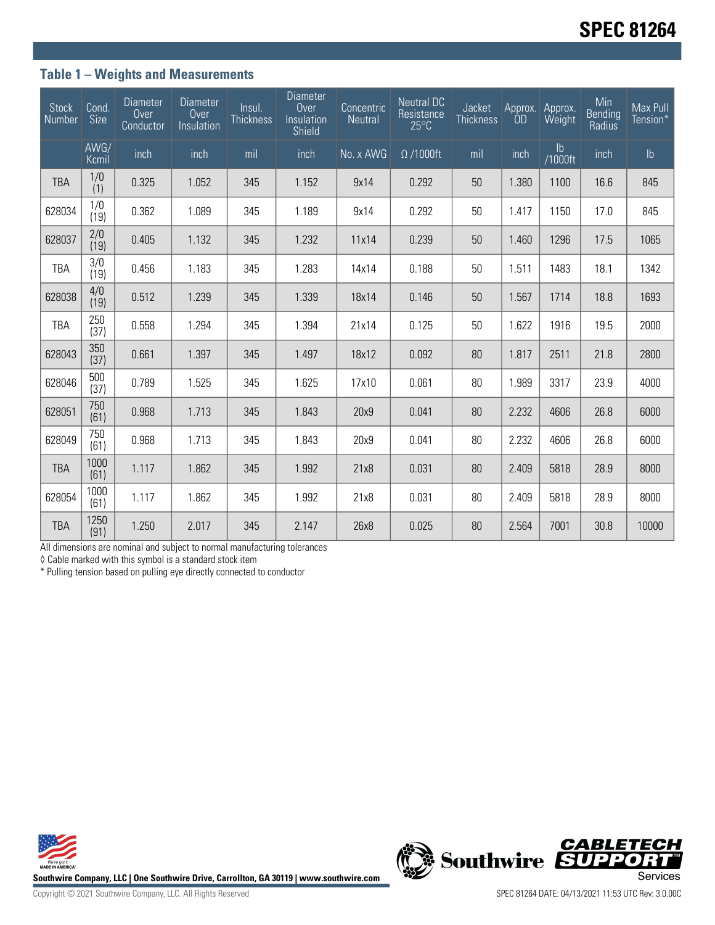## **Table 1 – Weights and Measurements**

| <b>Stock</b><br>Number | Cond.<br><b>Size</b> | <b>Diameter</b><br>Over<br>Conductor | <b>Diameter</b><br>Over<br>Insulation | Insul.<br><b>Thickness</b> | <b>Diameter</b><br>Over<br>Insulation<br>Shield | Concentric<br>Neutral | <b>Neutral DC</b><br>Resistance<br>$25^{\circ}$ C | Jacket<br><b>Thickness</b> | 0 <sub>D</sub> | Approx. Approx.<br>Weight | Min<br>Bending<br>Radius | Max Pull<br>Tension* |
|------------------------|----------------------|--------------------------------------|---------------------------------------|----------------------------|-------------------------------------------------|-----------------------|---------------------------------------------------|----------------------------|----------------|---------------------------|--------------------------|----------------------|
|                        | AWG/<br>Kcmil        | inch                                 | inch                                  | mil                        | inch                                            | No. x AWG             | $\Omega$ /1000ft                                  | mil                        | inch           | lb<br>1000ft/             | inch                     | $\mathsf{lb}$        |
| <b>TBA</b>             | 1/0<br>(1)           | 0.325                                | 1.052                                 | 345                        | 1.152                                           | 9x14                  | 0.292                                             | 50                         | 1.380          | 1100                      | 16.6                     | 845                  |
| 628034                 | 1/0<br>(19)          | 0.362                                | 1.089                                 | 345                        | 1.189                                           | 9x14                  | 0.292                                             | 50                         | 1.417          | 1150                      | 17.0                     | 845                  |
| 628037                 | 2/0<br>(19)          | 0.405                                | 1.132                                 | 345                        | 1.232                                           | 11x14                 | 0.239                                             | 50                         | 1.460          | 1296                      | 17.5                     | 1065                 |
| <b>TBA</b>             | 3/0<br>(19)          | 0.456                                | 1.183                                 | 345                        | 1.283                                           | 14x14                 | 0.188                                             | 50                         | 1.511          | 1483                      | 18.1                     | 1342                 |
| 628038                 | 4/0<br>(19)          | 0.512                                | 1.239                                 | 345                        | 1.339                                           | 18x14                 | 0.146                                             | 50                         | 1.567          | 1714                      | 18.8                     | 1693                 |
| <b>TBA</b>             | 250<br>(37)          | 0.558                                | 1.294                                 | 345                        | 1.394                                           | 21x14                 | 0.125                                             | 50                         | 1.622          | 1916                      | 19.5                     | 2000                 |
| 628043                 | 350<br>(37)          | 0.661                                | 1.397                                 | 345                        | 1.497                                           | 18x12                 | 0.092                                             | 80                         | 1.817          | 2511                      | 21.8                     | 2800                 |
| 628046                 | 500<br>(37)          | 0.789                                | 1.525                                 | 345                        | 1.625                                           | 17x10                 | 0.061                                             | 80                         | 1.989          | 3317                      | 23.9                     | 4000                 |
| 628051                 | 750<br>(61)          | 0.968                                | 1.713                                 | 345                        | 1.843                                           | 20x9                  | 0.041                                             | 80                         | 2.232          | 4606                      | 26.8                     | 6000                 |
| 628049                 | 750<br>(61)          | 0.968                                | 1.713                                 | 345                        | 1.843                                           | 20x9                  | 0.041                                             | 80                         | 2.232          | 4606                      | 26.8                     | 6000                 |
| <b>TBA</b>             | 1000<br>(61)         | 1.117                                | 1.862                                 | 345                        | 1.992                                           | 21x8                  | 0.031                                             | 80                         | 2.409          | 5818                      | 28.9                     | 8000                 |
| 628054                 | 1000<br>(61)         | 1.117                                | 1.862                                 | 345                        | 1.992                                           | 21x8                  | 0.031                                             | 80                         | 2.409          | 5818                      | 28.9                     | 8000                 |
| <b>TBA</b>             | 1250<br>(91)         | 1.250                                | 2.017                                 | 345                        | 2.147                                           | 26x8                  | 0.025                                             | 80                         | 2.564          | 7001                      | 30.8                     | 10000                |

All dimensions are nominal and subject to normal manufacturing tolerances

◊ Cable marked with this symbol is a standard stock item

\* Pulling tension based on pulling eye directly connected to conductor



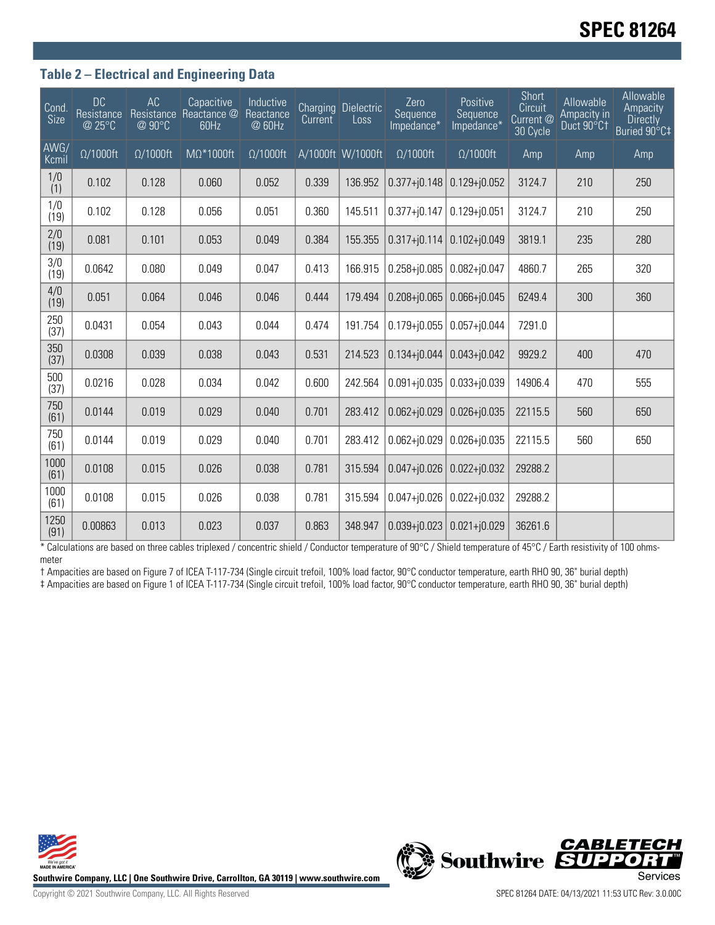## **SPEC 81264**

### **Table 2 – Electrical and Engineering Data**

| Cond.<br>Size | <b>DC</b><br>Resistance<br>@ 25°C | AC<br>Resistance<br>@ 90°C | Capacitive<br>Reactance @<br>60Hz | Inductive<br>Reactance<br>@ 60Hz | Current | Charging Dielectric<br>Loss | Zero<br>Sequence<br>Impedance* | Positive<br>Sequence<br>Impedance* | Short<br>Circuit<br>Current @<br>30 Cycle | Allowable<br>Ampacity in<br>Duct 90°C1 | Allowable<br>Ampacity<br><b>Directly</b><br>Buried 90°C‡ |
|---------------|-----------------------------------|----------------------------|-----------------------------------|----------------------------------|---------|-----------------------------|--------------------------------|------------------------------------|-------------------------------------------|----------------------------------------|----------------------------------------------------------|
| AWG/<br>Kcmil | $\Omega/1000$ ft                  | $\Omega/1000$ ft           | $M\Omega^*1000$ ft                | $\Omega/1000$ ft                 |         | A/1000ft W/1000ft           | $\Omega/1000$ ft               | $\Omega/1000$ ft                   | Amp                                       | Amp                                    | Amp                                                      |
| 1/0<br>(1)    | 0.102                             | 0.128                      | 0.060                             | 0.052                            | 0.339   | 136.952                     | $0.377 + j0.148$               | $0.129 + j0.052$                   | 3124.7                                    | 210                                    | 250                                                      |
| 1/0<br>(19)   | 0.102                             | 0.128                      | 0.056                             | 0.051                            | 0.360   | 145.511                     | $0.377 + j0.147$               | $0.129 + 0.051$                    | 3124.7                                    | 210                                    | 250                                                      |
| 2/0<br>(19)   | 0.081                             | 0.101                      | 0.053                             | 0.049                            | 0.384   | 155.355                     | $0.317 + j0.114$               | $0.102 + j0.049$                   | 3819.1                                    | 235                                    | 280                                                      |
| 3/0<br>(19)   | 0.0642                            | 0.080                      | 0.049                             | 0.047                            | 0.413   | 166.915                     | $0.258 + j0.085$               | $0.082 + j0.047$                   | 4860.7                                    | 265                                    | 320                                                      |
| 4/0<br>(19)   | 0.051                             | 0.064                      | 0.046                             | 0.046                            | 0.444   | 179.494                     | $0.208 + j0.065$               | $0.066 + 0.045$                    | 6249.4                                    | 300                                    | 360                                                      |
| 250<br>(37)   | 0.0431                            | 0.054                      | 0.043                             | 0.044                            | 0.474   | 191.754                     | $0.179 + j0.055$               | $0.057 + j0.044$                   | 7291.0                                    |                                        |                                                          |
| 350<br>(37)   | 0.0308                            | 0.039                      | 0.038                             | 0.043                            | 0.531   | 214.523                     | $0.134 + j0.044$               | $0.043 + j0.042$                   | 9929.2                                    | 400                                    | 470                                                      |
| 500<br>(37)   | 0.0216                            | 0.028                      | 0.034                             | 0.042                            | 0.600   | 242.564                     | $0.091 + j0.035$               | $0.033 + 0.039$                    | 14906.4                                   | 470                                    | 555                                                      |
| 750<br>(61)   | 0.0144                            | 0.019                      | 0.029                             | 0.040                            | 0.701   | 283.412                     | $0.062 + 0.029$                | $0.026 + j0.035$                   | 22115.5                                   | 560                                    | 650                                                      |
| 750<br>(61)   | 0.0144                            | 0.019                      | 0.029                             | 0.040                            | 0.701   | 283.412                     | $0.062 + j0.029$               | $0.026 + j0.035$                   | 22115.5                                   | 560                                    | 650                                                      |
| 1000<br>(61)  | 0.0108                            | 0.015                      | 0.026                             | 0.038                            | 0.781   | 315.594                     | $0.047 + 0.026$                | $0.022 + j0.032$                   | 29288.2                                   |                                        |                                                          |
| 1000<br>(61)  | 0.0108                            | 0.015                      | 0.026                             | 0.038                            | 0.781   | 315.594                     | $0.047 + 0.026$                | $0.022 + j0.032$                   | 29288.2                                   |                                        |                                                          |
| 1250<br>(91)  | 0.00863                           | 0.013                      | 0.023                             | 0.037                            | 0.863   | 348.947                     | $0.039 + 0.023$                | $0.021 + j0.029$                   | 36261.6                                   |                                        |                                                          |

\* Calculations are based on three cables triplexed / concentric shield / Conductor temperature of 90°C / Shield temperature of 45°C / Earth resistivity of 100 ohmsmeter

† Ampacities are based on Figure 7 of ICEA T-117-734 (Single circuit trefoil, 100% load factor, 90°C conductor temperature, earth RHO 90, 36" burial depth) ‡ Ampacities are based on Figure 1 of ICEA T-117-734 (Single circuit trefoil, 100% load factor, 90°C conductor temperature, earth RHO 90, 36" burial depth)



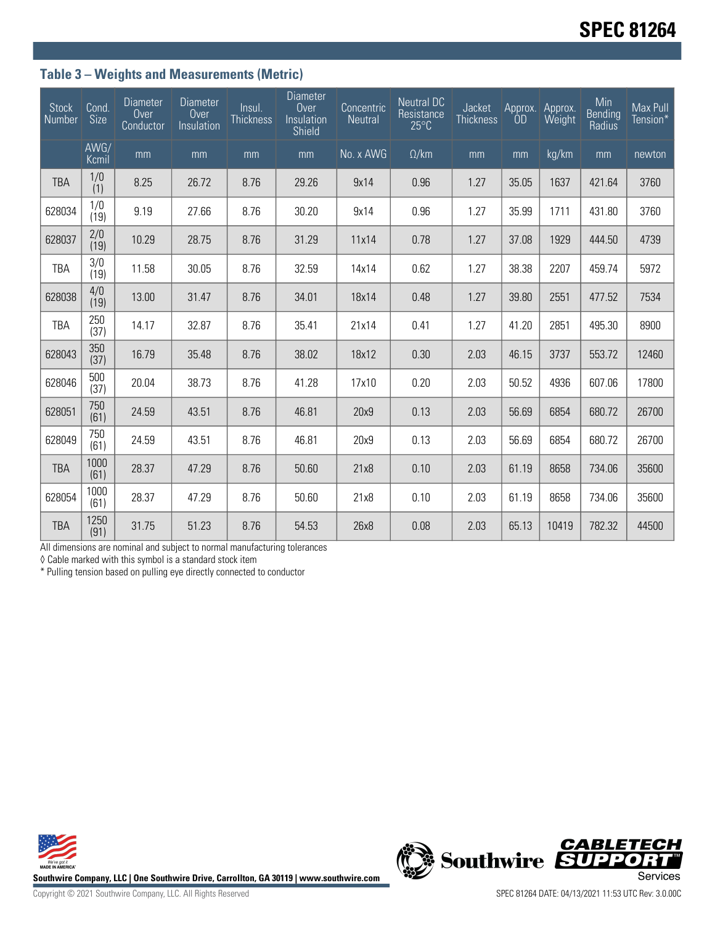## **Table 3 – Weights and Measurements (Metric)**

| <b>Stock</b><br>Number | Cond.<br>Size | Diameter<br>Over<br>Conductor | <b>Diameter</b><br>Over<br>Insulation | Insul.<br><b>Thickness</b> | <b>Diameter</b><br>Over<br>Insulation<br>Shield | Concentric<br>Neutral | <b>Neutral DC</b><br>Resistance<br>$25^{\circ}$ C | Jacket<br><b>Thickness</b> | Approx.<br>0 <sub>D</sub> | Approx.<br>Weight | Min<br>Bending<br>Radius | Max Pull<br>Tension* |
|------------------------|---------------|-------------------------------|---------------------------------------|----------------------------|-------------------------------------------------|-----------------------|---------------------------------------------------|----------------------------|---------------------------|-------------------|--------------------------|----------------------|
|                        | AWG/<br>Kcmil | mm                            | mm                                    | mm                         | mm                                              | No. x AWG             | $\Omega$ /km                                      | mm                         | mm                        | kg/km             | mm                       | newton               |
| <b>TBA</b>             | 1/0<br>(1)    | 8.25                          | 26.72                                 | 8.76                       | 29.26                                           | 9x14                  | 0.96                                              | 1.27                       | 35.05                     | 1637              | 421.64                   | 3760                 |
| 628034                 | 1/0<br>(19)   | 9.19                          | 27.66                                 | 8.76                       | 30.20                                           | 9x14                  | 0.96                                              | 1.27                       | 35.99                     | 1711              | 431.80                   | 3760                 |
| 628037                 | 2/0<br>(19)   | 10.29                         | 28.75                                 | 8.76                       | 31.29                                           | 11x14                 | 0.78                                              | 1.27                       | 37.08                     | 1929              | 444.50                   | 4739                 |
| <b>TBA</b>             | 3/0<br>(19)   | 11.58                         | 30.05                                 | 8.76                       | 32.59                                           | 14x14                 | 0.62                                              | 1.27                       | 38.38                     | 2207              | 459.74                   | 5972                 |
| 628038                 | 4/0<br>(19)   | 13.00                         | 31.47                                 | 8.76                       | 34.01                                           | 18x14                 | 0.48                                              | 1.27                       | 39.80                     | 2551              | 477.52                   | 7534                 |
| <b>TBA</b>             | 250<br>(37)   | 14.17                         | 32.87                                 | 8.76                       | 35.41                                           | 21x14                 | 0.41                                              | 1.27                       | 41.20                     | 2851              | 495.30                   | 8900                 |
| 628043                 | 350<br>(37)   | 16.79                         | 35.48                                 | 8.76                       | 38.02                                           | 18x12                 | 0.30                                              | 2.03                       | 46.15                     | 3737              | 553.72                   | 12460                |
| 628046                 | 500<br>(37)   | 20.04                         | 38.73                                 | 8.76                       | 41.28                                           | 17x10                 | 0.20                                              | 2.03                       | 50.52                     | 4936              | 607.06                   | 17800                |
| 628051                 | 750<br>(61)   | 24.59                         | 43.51                                 | 8.76                       | 46.81                                           | 20x9                  | 0.13                                              | 2.03                       | 56.69                     | 6854              | 680.72                   | 26700                |
| 628049                 | 750<br>(61)   | 24.59                         | 43.51                                 | 8.76                       | 46.81                                           | 20x9                  | 0.13                                              | 2.03                       | 56.69                     | 6854              | 680.72                   | 26700                |
| <b>TBA</b>             | 1000<br>(61)  | 28.37                         | 47.29                                 | 8.76                       | 50.60                                           | 21x8                  | 0.10                                              | 2.03                       | 61.19                     | 8658              | 734.06                   | 35600                |
| 628054                 | 1000<br>(61)  | 28.37                         | 47.29                                 | 8.76                       | 50.60                                           | 21x8                  | 0.10                                              | 2.03                       | 61.19                     | 8658              | 734.06                   | 35600                |
| <b>TBA</b>             | 1250<br>(91)  | 31.75                         | 51.23                                 | 8.76                       | 54.53                                           | 26x8                  | 0.08                                              | 2.03                       | 65.13                     | 10419             | 782.32                   | 44500                |

All dimensions are nominal and subject to normal manufacturing tolerances

◊ Cable marked with this symbol is a standard stock item

\* Pulling tension based on pulling eye directly connected to conductor